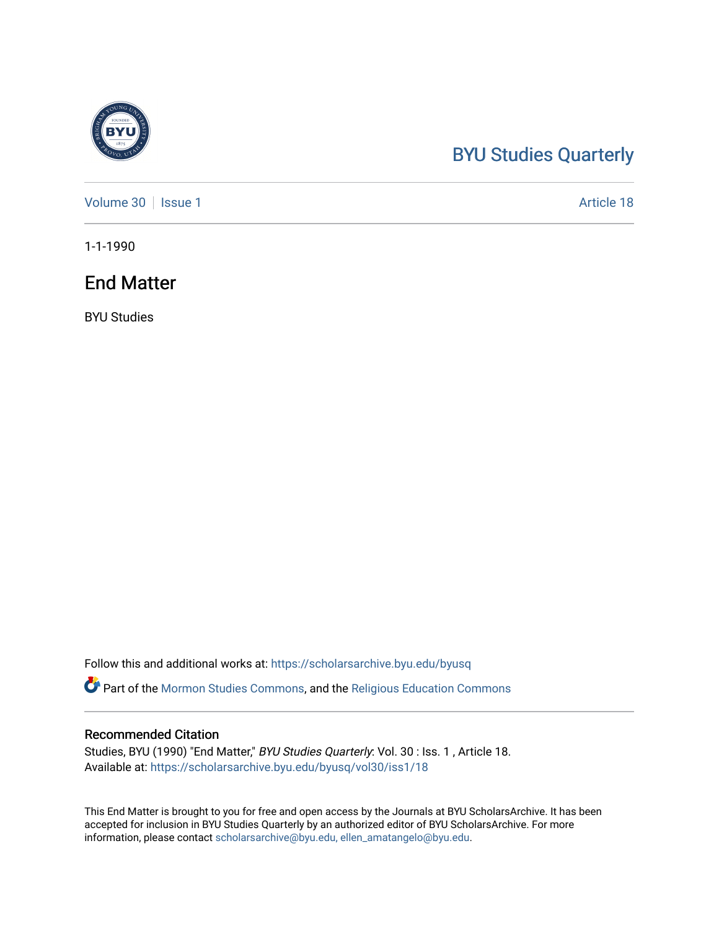## [BYU Studies Quarterly](https://scholarsarchive.byu.edu/byusq)

[Volume 30](https://scholarsarchive.byu.edu/byusq/vol30) | [Issue 1](https://scholarsarchive.byu.edu/byusq/vol30/iss1) Article 18

1-1-1990

### End Matter

BYU Studies

Follow this and additional works at: [https://scholarsarchive.byu.edu/byusq](https://scholarsarchive.byu.edu/byusq?utm_source=scholarsarchive.byu.edu%2Fbyusq%2Fvol30%2Fiss1%2F18&utm_medium=PDF&utm_campaign=PDFCoverPages) 

Part of the [Mormon Studies Commons](http://network.bepress.com/hgg/discipline/1360?utm_source=scholarsarchive.byu.edu%2Fbyusq%2Fvol30%2Fiss1%2F18&utm_medium=PDF&utm_campaign=PDFCoverPages), and the [Religious Education Commons](http://network.bepress.com/hgg/discipline/1414?utm_source=scholarsarchive.byu.edu%2Fbyusq%2Fvol30%2Fiss1%2F18&utm_medium=PDF&utm_campaign=PDFCoverPages) 

#### Recommended Citation

Studies, BYU (1990) "End Matter," BYU Studies Quarterly: Vol. 30 : Iss. 1 , Article 18. Available at: [https://scholarsarchive.byu.edu/byusq/vol30/iss1/18](https://scholarsarchive.byu.edu/byusq/vol30/iss1/18?utm_source=scholarsarchive.byu.edu%2Fbyusq%2Fvol30%2Fiss1%2F18&utm_medium=PDF&utm_campaign=PDFCoverPages) 

This End Matter is brought to you for free and open access by the Journals at BYU ScholarsArchive. It has been accepted for inclusion in BYU Studies Quarterly by an authorized editor of BYU ScholarsArchive. For more information, please contact [scholarsarchive@byu.edu, ellen\\_amatangelo@byu.edu.](mailto:scholarsarchive@byu.edu,%20ellen_amatangelo@byu.edu)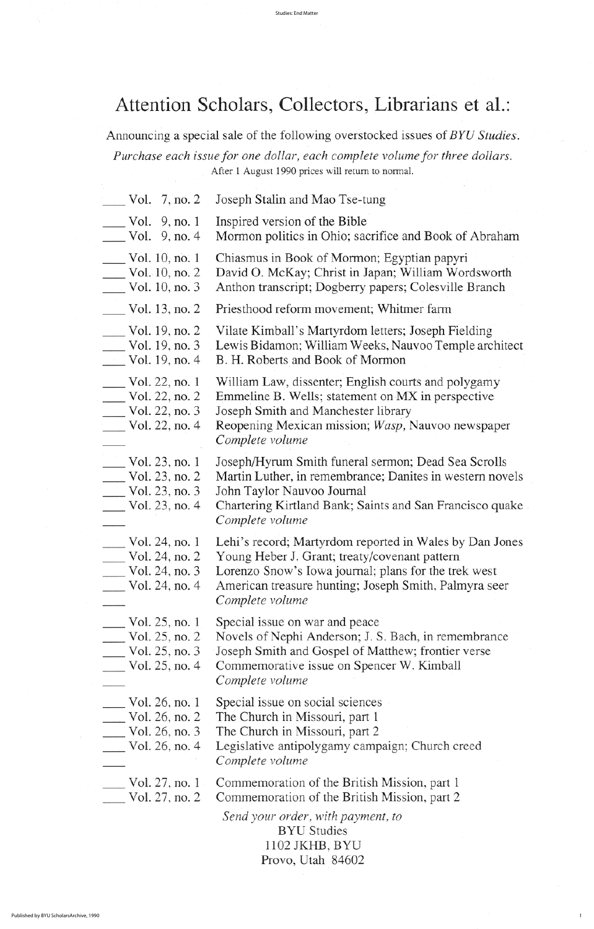- $\sim$  Vol. 9, no. 1 Inspired version of the Bible
- $\sim$  Vol. 9, no. 4 Mormon politics in Ohio; sacrifice and Book of Abraham
- Vol. 10, no. 1 Chiasmus in Book of Mormon; Egyptian papyri
- Vol. 10, no. 2 David O. McKay; Christ in Japan; William Wordsworth<br>Vol. 10, no. 3 Anthon transcript; Dogberry papers; Colesville Branch
- Anthon transcript; Dogberry papers; Colesville Branch
- Wol. 13, no. 2 Priesthood reform movement; Whitmer farm
- 
- Vol. 19, no. 2 Vilate Kimball's Martyrdom letters; Joseph Fielding<br>Vol. 19, no. 3 Lewis Bidamon; William Weeks, Nauvoo Temple arc Lewis Bidamon; William Weeks, Nauvoo Temple architect
- Vol. 19, no.  $4$  B. H. Roberts and Book of Mormon
- Vol. 22, no. 1 William Law, dissenter; English courts and polygamy
- $\text{Vol. } 22$ , no. 2 Emmeline B. Wells; statement on MX in perspective
	-
- Vol. 22, no. 3 Joseph Smith and Manchester library<br>Vol. 22, no. 4 Reopening Mexican mission; Wasp, N Reopening Mexican mission; Wasp, Nauvoo newspaper complete volume
	- Vol. 23, no. 1 Joseph/Hyrum Smith funeral sermon; Dead Sea Scrolls<br>Vol. 23, no. 2 Mortin Luther, in remembrance: Denites in western new vol 23 no 2 martin luther in remembrance danitesc in western novels

| VOI. $23, 110. 2$<br>Vol. 23, no. 3<br>Vol. 23, no. 4                | Martin Luttler, in remembrance, Danites in western novers<br>John Taylor Nauvoo Journal<br>Chartering Kirtland Bank; Saints and San Francisco quake<br>Complete volume                                                                       |  |
|----------------------------------------------------------------------|----------------------------------------------------------------------------------------------------------------------------------------------------------------------------------------------------------------------------------------------|--|
| Vol. 24, no. 1<br>Vol. 24, no. 2<br>Vol. 24, no. 3<br>Vol. 24, no. 4 | Lehi's record; Martyrdom reported in Wales by Dan Jones<br>Young Heber J. Grant; treaty/covenant pattern<br>Lorenzo Snow's Iowa journal; plans for the trek west<br>American treasure hunting; Joseph Smith, Palmyra seer<br>Complete volume |  |
| Vol. 25, no. 1<br>Vol. 25, no. 2<br>Vol. 25, no. 3<br>Vol. 25, no. 4 | Special issue on war and peace<br>Novels of Nephi Anderson; J. S. Bach, in remembrance<br>Joseph Smith and Gospel of Matthew; frontier verse<br>Commemorative issue on Spencer W. Kimball<br>Complete volume                                 |  |
| Vol. 26, no. 1<br>Vol. 26, no. 2<br>Vol. 26, no. 3<br>Vol. 26, no. 4 | Special issue on social sciences<br>The Church in Missouri, part 1<br>The Church in Missouri, part 2<br>Legislative antipolygamy campaign; Church creed<br>Complete volume                                                                   |  |
| Vol. 27, no. 1<br>Vol. 27, no. $2$                                   | Commemoration of the British Mission, part 1<br>Commemoration of the British Mission, part 2                                                                                                                                                 |  |
|                                                                      | Send your order, with payment, to<br><b>BYU</b> Studies<br>1102 JKHB, BYU<br>Provo, Utah 84602                                                                                                                                               |  |

1

# Attention Scholars, Collectors, Librarians et al.:

Announcing a special sale of the following overstocked issues of BYU Studies. Purchase each issue for one dollar, each complete volume for three dollars. After 1 August 1990 prices will return to normal.

|  | Vol. 7, no. 2 Joseph Stalin and Mao Tse-tung |
|--|----------------------------------------------|